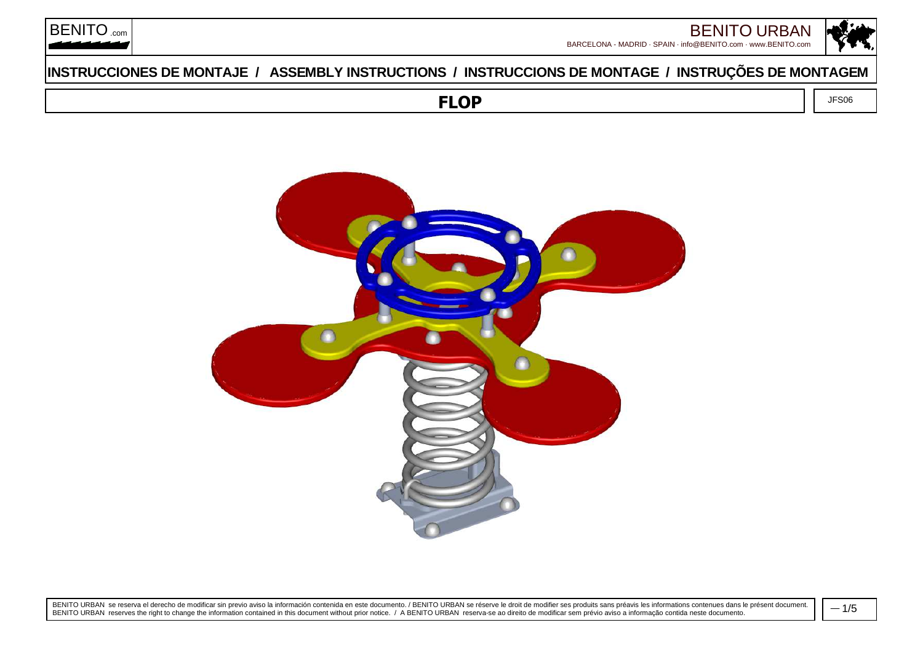

JFS06



# **INSTRUCCIONES DE MONTAJE / ASSEMBLY INSTRUCTIONS / INSTRUCCIONS DE MONTAGE / INSTRUÇÕES DE MONTAGEM**

**FLOP**



BENITO URBAN se reserva el derecho de modificar sin previo aviso la información contenida en este documento. / BENITO URBAN se réserve le droit de modifier ses produits sans préavis les informations contenues dans le prése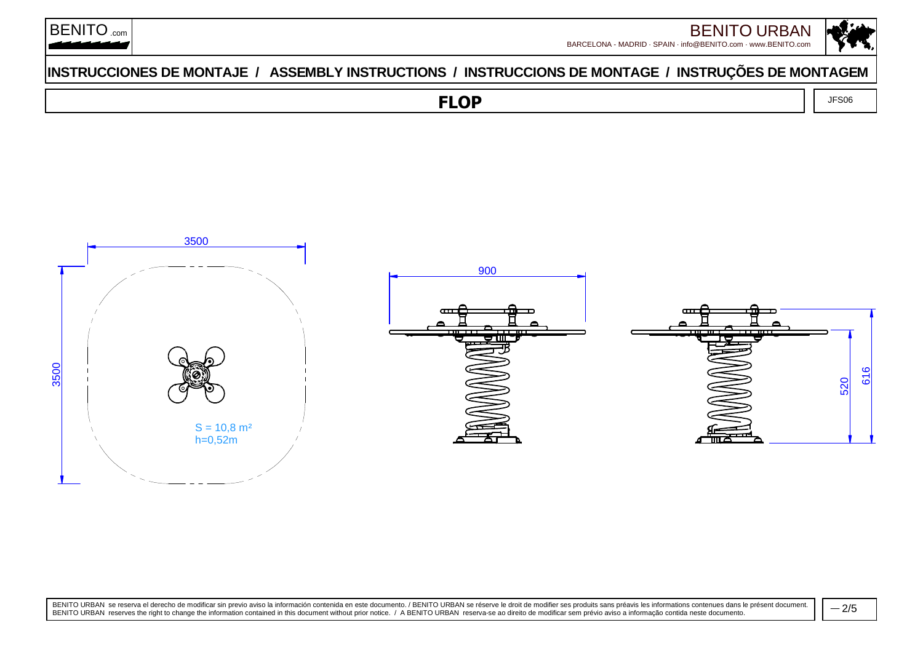

JFS06



## **INSTRUCCIONES DE MONTAJE / ASSEMBLY INSTRUCTIONS / INSTRUCCIONS DE MONTAGE / INSTRUÇÕES DE MONTAGEM**

**FLOP**



BENITO URBAN se reserva el derecho de modificar sin previo aviso la información contenida en este documento. / BENITO URBAN se réserve le droit de modifier ses produits sans préavis les informations contenues dans le prése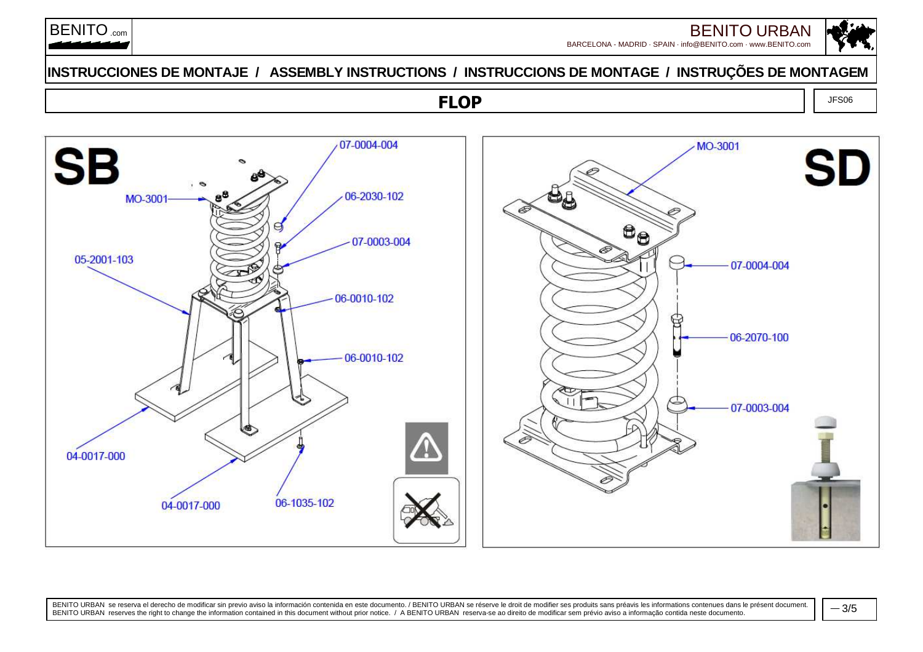

## **INSTRUCCIONES DE MONTAJE / ASSEMBLY INSTRUCTIONS / INSTRUCCIONS DE MONTAGE / INSTRUÇÕES DE MONTAGEM**

## **FLOP**



BENITO URBAN se reserva el derecho de modificar sin previo aviso la información contenida en este documento. / BENITO URBAN se réserve le droit de modifier ses produits sans préavis les informations contenues dans le prése

JFS06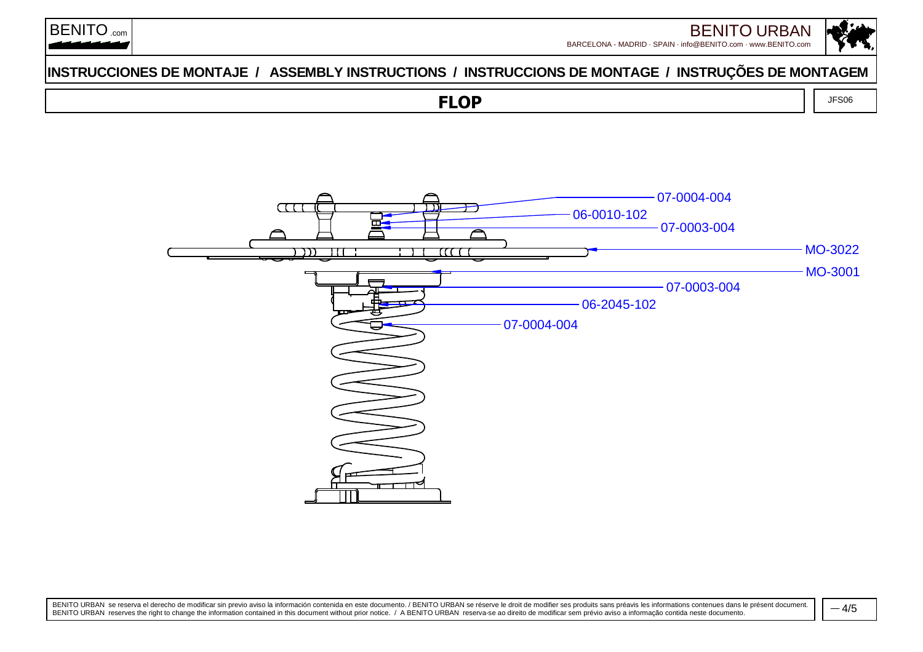

## **INSTRUCCIONES DE MONTAJE / ASSEMBLY INSTRUCTIONS / INSTRUCCIONS DE MONTAGE / INSTRUÇÕES DE MONTAGEM**

**FLOP**

JFS06



BENITO URBAN se reserva el derecho de modificar sin previo aviso la información contenida en este documento. / BENITO URBAN se réserve le droit de modifier ses produits sans préavis les informations contenues dans le prése